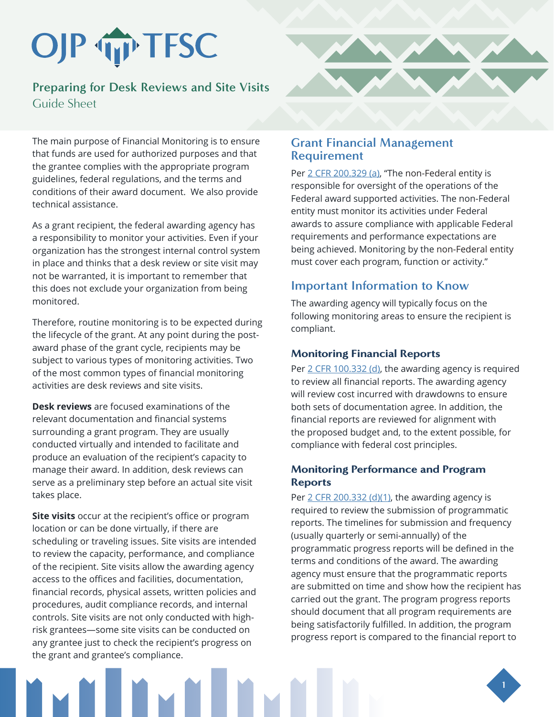# OJP TP TFSC

# **Preparing for Desk Reviews and Site Visits** Guide Sheet

The main purpose of Financial Monitoring is to ensure that funds are used for authorized purposes and that the grantee complies with the appropriate program guidelines, federal regulations, and the terms and conditions of their award document. We also provide technical assistance.

As a grant recipient, the federal awarding agency has a responsibility to monitor your activities. Even if your organization has the strongest internal control system in place and thinks that a desk review or site visit may not be warranted, it is important to remember that this does not exclude your organization from being monitored.

Therefore, routine monitoring is to be expected during the lifecycle of the grant. At any point during the postaward phase of the grant cycle, recipients may be subject to various types of monitoring activities. Two of the most common types of financial monitoring activities are desk reviews and site visits.

**Desk reviews** are focused examinations of the relevant documentation and financial systems surrounding a grant program. They are usually conducted virtually and intended to facilitate and produce an evaluation of the recipient's capacity to manage their award. In addition, desk reviews can serve as a preliminary step before an actual site visit takes place.

**Site visits** occur at the recipient's office or program location or can be done virtually, if there are scheduling or traveling issues. Site visits are intended to review the capacity, performance, and compliance of the recipient. Site visits allow the awarding agency access to the offices and facilities, documentation, financial records, physical assets, written policies and procedures, audit compliance records, and internal controls. Site visits are not only conducted with highrisk grantees—some site visits can be conducted on any grantee just to check the recipient's progress on the grant and grantee's compliance.



### **Grant Financial Management Requirement**

Pe[r 2 CFR 200.329 \(a\), "](https://www.ecfr.gov/cgi-bin/retrieveECFR?gp=&SID=ad4080112377895c664d0d9409370fe0&mc=true&n=pt2.1.200&r=PART&ty=HTML#se2.1.200_1329)The non-Federal entity is responsible for oversight of the operations of the Federal award supported activities. The non-Federal entity must monitor its activities under Federal awards to assure compliance with applicable Federal requirements and performance expectations are being achieved. Monitoring by the non-Federal entity must cover each program, function or activity."

## **Important Information to Know**

The awarding agency will typically focus on the following monitoring areas to ensure the recipient is compliant.

## Monitoring Financial Reports

Per [2 CFR 100.332 \(d\),](https://www.ecfr.gov/cgi-bin/retrieveECFR?gp=&SID=ad4080112377895c664d0d9409370fe0&mc=true&n=pt2.1.200&r=PART&ty=HTML#se2.1.200_1332) the awarding agency is required to review all financial reports. The awarding agency will review cost incurred with drawdowns to ensure both sets of documentation agree. In addition, the financial reports are reviewed for alignment with the proposed budget and, to the extent possible, for compliance with federal cost principles.

### Monitoring Performance and Program Reports

Per  $2$  CFR 200.332 (d)(1), the awarding agency is required to review the submission of programmatic reports. The timelines for submission and frequency (usually quarterly or semi-annually) of the programmatic progress reports will be defined in the terms and conditions of the award. The awarding agency must ensure that the programmatic reports are submitted on time and show how the recipient has carried out the grant. The program progress reports should document that all program requirements are being satisfactorily fulfilled. In addition, the program progress report is compared to the financial report to

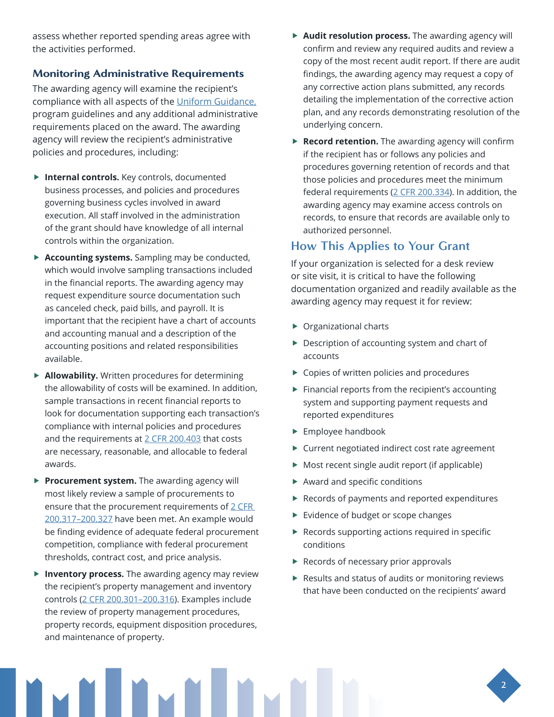assess whether reported spending areas agree with the activities performed.

#### Monitoring Administrative Requirements

The awarding agency will examine the recipient's compliance with all aspects of the [Uniform Guidance,](https://www.ecfr.gov/cgi-bin/text-idx?node=2:1.1.2.2.1.5&rgn=div6) program guidelines and any additional administrative requirements placed on the award. The awarding agency will review the recipient's administrative policies and procedures, including:

- **Finternal controls.** Key controls, documented business processes, and policies and procedures governing business cycles involved in award execution. All staff involved in the administration of the grant should have knowledge of all internal controls within the organization.
- **Accounting systems.** Sampling may be conducted, which would involve sampling transactions included in the financial reports. The awarding agency may request expenditure source documentation such as canceled check, paid bills, and payroll. It is important that the recipient have a chart of accounts and accounting manual and a description of the accounting positions and related responsibilities available.
- **Allowability.** Written procedures for determining the allowability of costs will be examined. In addition, sample transactions in recent financial reports to look for documentation supporting each transaction's compliance with internal policies and procedures and the requirements at [2 CFR 200.403 t](https://www.ecfr.gov/cgi-bin/text-idx?node=2:1.1.2.2.1.5&rgn=div6#se2.1.200_1403)hat costs are necessary, reasonable, and allocable to federal awards.
- **Procurement system.** The awarding agency will most likely review a sample of procurements to ensure that the procurement requirements of 2 CFR 200.317–200.327 have been met. An example would be finding evidence of adequate federal procurement competition, compliance with federal procurement thresholds, contract cost, and price analysis.
- **Finventory process.** The awarding agency may review the recipient's property management and inventory controls [\(2 CFR 200.301–200.316\)](https://www.ecfr.gov/cgi-bin/retrieveECFR?gp=&SID=ad4080112377895c664d0d9409370fe0&mc=true&n=pt2.1.200&r=PART&ty=HTML#se2.1.200_1301). Examples include the review of property management procedures, property records, equipment disposition procedures, and maintenance of property.
- **Audit resolution process.** The awarding agency will confirm and review any required audits and review a copy of the most recent audit report. If there are audit findings, the awarding agency may request a copy of any corrective action plans submitted, any records detailing the implementation of the corrective action plan, and any records demonstrating resolution of the underlying concern.
- **Record retention.** The awarding agency will confirm if the recipient has or follows any policies and procedures governing retention of records and that those policies and procedures meet the minimum federal requirement[s \(2 CFR 200.334\).](https://www.ecfr.gov/cgi-bin/retrieveECFR?gp=&SID=ad4080112377895c664d0d9409370fe0&mc=true&n=pt2.1.200&r=PART&ty=HTML#se2.1.200_1334) In addition, the awarding agency may examine access controls on records, to ensure that records are available only to authorized personnel.

## **How This Applies to Your Grant**

If your organization is selected for a desk review or site visit, it is critical to have the following documentation organized and readily available as the awarding agency may request it for review:

- $\triangleright$  Organizational charts
- $\blacktriangleright$  Description of accounting system and chart of accounts
- $\blacktriangleright$  Copies of written policies and procedures
- $\blacktriangleright$  Financial reports from the recipient's accounting system and supporting payment requests and reported expenditures
- $\blacktriangleright$  Employee handbook
- $\blacktriangleright$  Current negotiated indirect cost rate agreement
- $\blacktriangleright$  Most recent single audit report (if applicable)
- $\blacktriangleright$  Award and specific conditions
- $\blacktriangleright$  Records of payments and reported expenditures
- $\blacktriangleright$  Evidence of budget or scope changes
- $\blacktriangleright$  Records supporting actions required in specific conditions
- $\blacktriangleright$  Records of necessary prior approvals
- $\blacktriangleright$  Results and status of audits or monitoring reviews that have been conducted on the recipients' award



**2**